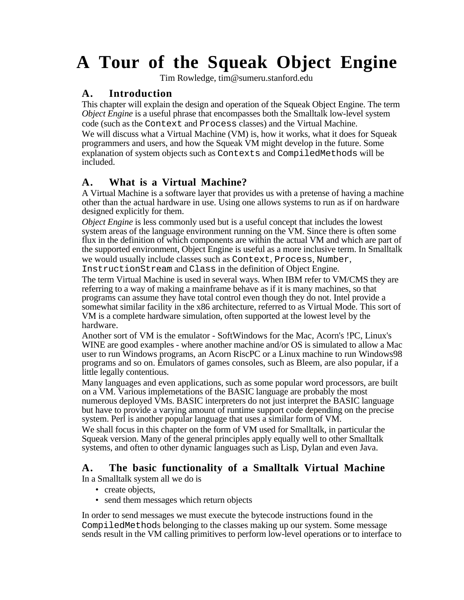# **A Tour of the Squeak Object Engine**

Tim Rowledge, tim@sumeru.stanford.edu

# **A. Introduction**

This chapter will explain the design and operation of the Squeak Object Engine. The term *Object Engine* is a useful phrase that encompasses both the Smalltalk low-level system code (such as the Context and Process classes) and the Virtual Machine. We will discuss what a Virtual Machine (VM) is, how it works, what it does for Squeak programmers and users, and how the Squeak VM might develop in the future. Some explanation of system objects such as Contexts and CompiledMethods will be included.

# **A. What is a Virtual Machine?**

A Virtual Machine is a software layer that provides us with a pretense of having a machine other than the actual hardware in use. Using one allows systems to run as if on hardware designed explicitly for them.

*Object Engine* is less commonly used but is a useful concept that includes the lowest system areas of the language environment running on the VM. Since there is often some flux in the definition of which components are within the actual VM and which are part of the supported environment, Object Engine is useful as a more inclusive term. In Smalltalk we would usually include classes such as Context, Process, Number,

InstructionStream and Class in the definition of Object Engine.

The term Virtual Machine is used in several ways. When IBM refer to VM/CMS they are referring to a way of making a mainframe behave as if it is many machines, so that programs can assume they have total control even though they do not. Intel provide a somewhat similar facility in the x86 architecture, referred to as Virtual Mode. This sort of VM is a complete hardware simulation, often supported at the lowest level by the hardware.

Another sort of VM is the emulator - SoftWindows for the Mac, Acorn's !PC, Linux's WINE are good examples - where another machine and/or OS is simulated to allow a Mac user to run Windows programs, an Acorn RiscPC or a Linux machine to run Windows98 programs and so on. Emulators of games consoles, such as Bleem, are also popular, if a little legally contentious.

Many languages and even applications, such as some popular word processors, are built on a VM. Various implemetations of the BASIC language are probably the most numerous deployed VMs. BASIC interpreters do not just interpret the BASIC language but have to provide a varying amount of runtime support code depending on the precise system. Perl is another popular language that uses a similar form of VM.

We shall focus in this chapter on the form of VM used for Smalltalk, in particular the Squeak version. Many of the general principles apply equally well to other Smalltalk systems, and often to other dynamic languages such as Lisp, Dylan and even Java.

# **A. The basic functionality of a Smalltalk Virtual Machine**

In a Smalltalk system all we do is

- create objects,
- send them messages which return objects

In order to send messages we must execute the bytecode instructions found in the CompiledMethods belonging to the classes making up our system. Some message sends result in the VM calling primitives to perform low-level operations or to interface to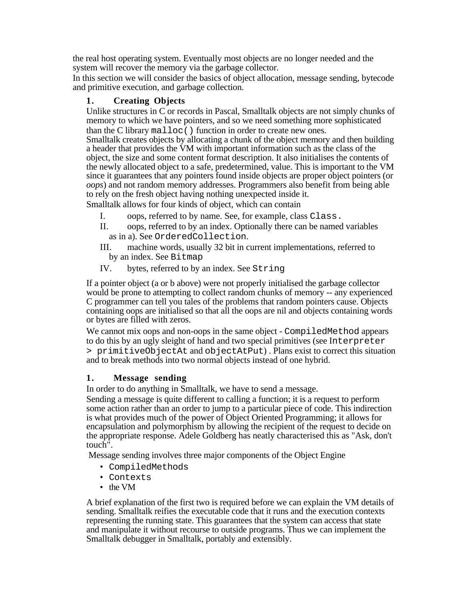the real host operating system. Eventually most objects are no longer needed and the system will recover the memory via the garbage collector.

In this section we will consider the basics of object allocation, message sending, bytecode and primitive execution, and garbage collection.

# **1. Creating Objects**

Unlike structures in C or records in Pascal, Smalltalk objects are not simply chunks of memory to which we have pointers, and so we need something more sophisticated than the C library malloc() function in order to create new ones.

Smalltalk creates objects by allocating a chunk of the object memory and then building a header that provides the VM with important information such as the class of the object, the size and some content format description. It also initialises the contents of the newly allocated object to a safe, predetermined, value. This is important to the VM since it guarantees that any pointers found inside objects are proper object pointers (or *oops*) and not random memory addresses. Programmers also benefit from being able to rely on the fresh object having nothing unexpected inside it.

Smalltalk allows for four kinds of object, which can contain

- I. oops, referred to by name. See, for example, class Class.
- II. oops, referred to by an index. Optionally there can be named variables as in a). See OrderedCollection.
- III. machine words, usually 32 bit in current implementations, referred to by an index. See Bitmap
- IV. bytes, referred to by an index. See String

If a pointer object (a or b above) were not properly initialised the garbage collector would be prone to attempting to collect random chunks of memory -- any experienced C programmer can tell you tales of the problems that random pointers cause. Objects containing oops are initialised so that all the oops are nil and objects containing words or bytes are filled with zeros.

We cannot mix oops and non-oops in the same object - Compiled Method appears to do this by an ugly sleight of hand and two special primitives (see Interpreter > primitiveObjectAt and objectAtPut) . Plans exist to correct this situation and to break methods into two normal objects instead of one hybrid.

#### **1. Message sending**

In order to do anything in Smalltalk, we have to send a message.

Sending a message is quite different to calling a function; it is a request to perform some action rather than an order to jump to a particular piece of code. This indirection is what provides much of the power of Object Oriented Programming; it allows for encapsulation and polymorphism by allowing the recipient of the request to decide on the appropriate response. Adele Goldberg has neatly characterised this as "Ask, don't touch".

Message sending involves three major components of the Object Engine

- CompiledMethods
- Contexts
- the VM

A brief explanation of the first two is required before we can explain the VM details of sending. Smalltalk reifies the executable code that it runs and the execution contexts representing the running state. This guarantees that the system can access that state and manipulate it without recourse to outside programs. Thus we can implement the Smalltalk debugger in Smalltalk, portably and extensibly.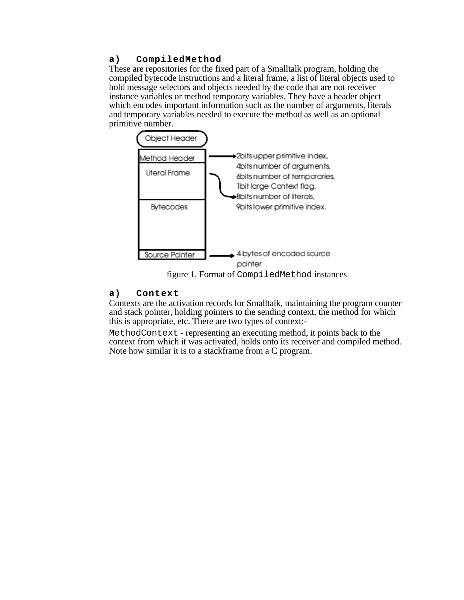#### **a) CompiledMethod**

These are repositories for the fixed part of a Smalltalk program, holding the compiled bytecode instructions and a literal frame, a list of literal objects used to hold message selectors and objects needed by the code that are not receiver instance variables or method temporary variables. They have a header object which encodes important information such as the number of arguments, literals and temporary variables needed to execute the method as well as an optional primitive number.



figure 1. Format of CompiledMethod instances

### **a) Context**

Contexts are the activation records for Smalltalk, maintaining the program counter and stack pointer, holding pointers to the sending context, the method for which this is appropriate, etc. There are two types of context:-

MethodContext - representing an executing method, it points back to the context from which it was activated, holds onto its receiver and compiled method. Note how similar it is to a stackframe from a C program.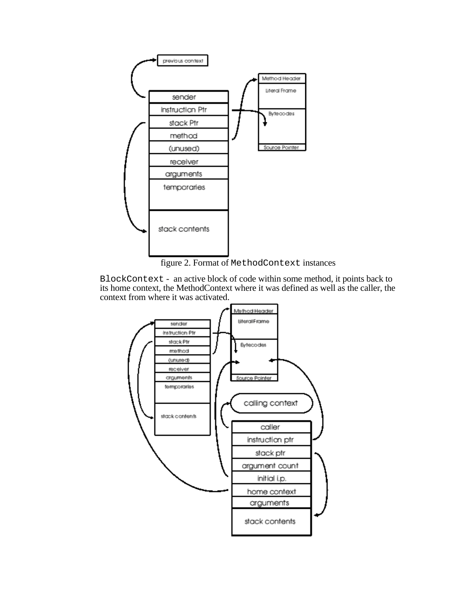

figure 2. Format of MethodContext instances

BlockContext - an active block of code within some method, it points back to its home context, the MethodContext where it was defined as well as the caller, the context from where it was activated.

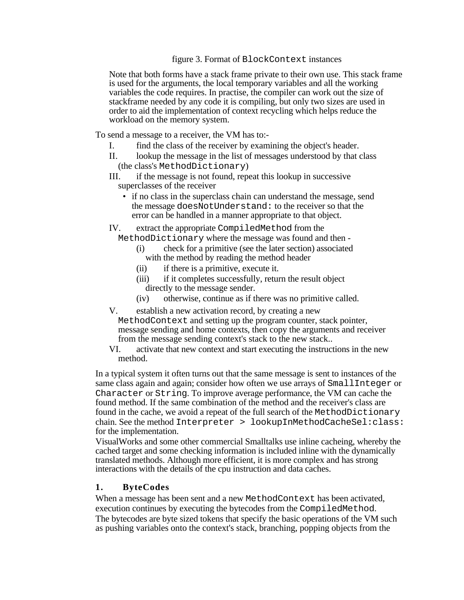#### figure 3. Format of BlockContext instances

Note that both forms have a stack frame private to their own use. This stack frame is used for the arguments, the local temporary variables and all the working variables the code requires. In practise, the compiler can work out the size of stackframe needed by any code it is compiling, but only two sizes are used in order to aid the implementation of context recycling which helps reduce the workload on the memory system.

To send a message to a receiver, the VM has to:-

- I. find the class of the receiver by examining the object's header.
- II. lookup the message in the list of messages understood by that class (the class's MethodDictionary)
- III. if the message is not found, repeat this lookup in successive superclasses of the receiver
	- if no class in the superclass chain can understand the message, send the message doesNotUnderstand: to the receiver so that the error can be handled in a manner appropriate to that object.
- IV. extract the appropriate CompiledMethod from the MethodDictionary where the message was found and then -
	- (i) check for a primitive (see the later section) associated with the method by reading the method header
	- (ii) if there is a primitive, execute it.
	- (iii) if it completes successfully, return the result object directly to the message sender.
	- (iv) otherwise, continue as if there was no primitive called.
- V. establish a new activation record, by creating a new

MethodContext and setting up the program counter, stack pointer, message sending and home contexts, then copy the arguments and receiver from the message sending context's stack to the new stack..

VI. activate that new context and start executing the instructions in the new method.

In a typical system it often turns out that the same message is sent to instances of the same class again and again; consider how often we use arrays of SmallInteger or Character or String. To improve average performance, the VM can cache the found method. If the same combination of the method and the receiver's class are found in the cache, we avoid a repeat of the full search of the MethodDictionary chain. See the method Interpreter > lookupInMethodCacheSel:class: for the implementation.

VisualWorks and some other commercial Smalltalks use inline cacheing, whereby the cached target and some checking information is included inline with the dynamically translated methods. Although more efficient, it is more complex and has strong interactions with the details of the cpu instruction and data caches.

# **1. ByteCodes**

When a message has been sent and a new MethodContext has been activated, execution continues by executing the bytecodes from the CompiledMethod. The bytecodes are byte sized tokens that specify the basic operations of the VM such as pushing variables onto the context's stack, branching, popping objects from the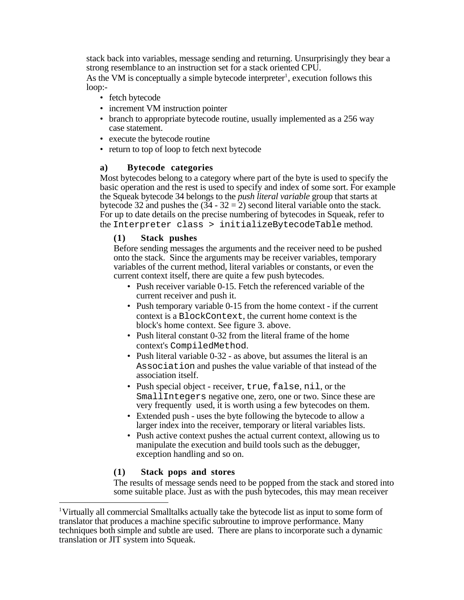stack back into variables, message sending and returning. Unsurprisingly they bear a strong resemblance to an instruction set for a stack oriented CPU.

As the VM is conceptually a simple bytecode interpreter<sup>1</sup>, execution follows this loop:-

- fetch bytecode
- increment VM instruction pointer
- branch to appropriate bytecode routine, usually implemented as a 256 way case statement.
- execute the bytecode routine
- return to top of loop to fetch next bytecode

#### **a) Bytecode categories**

Most bytecodes belong to a category where part of the byte is used to specify the basic operation and the rest is used to specify and index of some sort. For example the Squeak bytecode 34 belongs to the *push literal variable* group that starts at bytecode 32 and pushes the  $(34 - 32 = 2)$  second literal variable onto the stack. For up to date details on the precise numbering of bytecodes in Squeak, refer to the Interpreter class > initializeBytecodeTable method.

#### **(1) Stack pushes**

Before sending messages the arguments and the receiver need to be pushed onto the stack. Since the arguments may be receiver variables, temporary variables of the current method, literal variables or constants, or even the current context itself, there are quite a few push bytecodes.

- Push receiver variable 0-15. Fetch the referenced variable of the current receiver and push it.
- Push temporary variable 0-15 from the home context if the current context is a BlockContext, the current home context is the block's home context. See figure 3. above.
- Push literal constant 0-32 from the literal frame of the home context's CompiledMethod.
- Push literal variable 0-32 as above, but assumes the literal is an Association and pushes the value variable of that instead of the association itself.
- Push special object receiver, true, false, nil, or the SmallIntegers negative one, zero, one or two. Since these are very frequently used, it is worth using a few bytecodes on them.
- Extended push uses the byte following the bytecode to allow a larger index into the receiver, temporary or literal variables lists.
- Push active context pushes the actual current context, allowing us to manipulate the execution and build tools such as the debugger, exception handling and so on.

#### **(1) Stack pops and stores**

 $\overline{a}$ 

The results of message sends need to be popped from the stack and stored into some suitable place. Just as with the push bytecodes, this may mean receiver

<sup>&</sup>lt;sup>1</sup>Virtually all commercial Smalltalks actually take the bytecode list as input to some form of translator that produces a machine specific subroutine to improve performance. Many techniques both simple and subtle are used. There are plans to incorporate such a dynamic translation or JIT system into Squeak.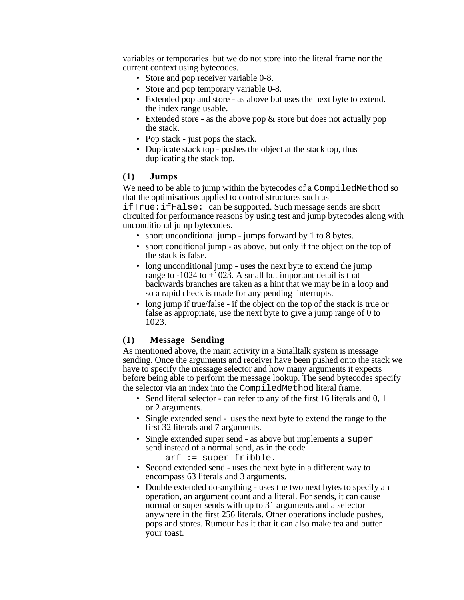variables or temporaries but we do not store into the literal frame nor the current context using bytecodes.

- Store and pop receiver variable 0-8.
- Store and pop temporary variable 0-8.
- Extended pop and store as above but uses the next byte to extend. the index range usable.
- Extended store as the above pop & store but does not actually pop the stack.
- Pop stack just pops the stack.
- Duplicate stack top pushes the object at the stack top, thus duplicating the stack top.

# **(1) Jumps**

We need to be able to jump within the bytecodes of a CompiledMethod so that the optimisations applied to control structures such as

ifTrue:ifFalse: can be supported. Such message sends are short circuited for performance reasons by using test and jump bytecodes along with unconditional jump bytecodes.

- short unconditional jump jumps forward by 1 to 8 bytes.
- short conditional jump as above, but only if the object on the top of the stack is false.
- long unconditional jump uses the next byte to extend the jump range to -1024 to  $+102\overline{3}$ . A small but important detail is that backwards branches are taken as a hint that we may be in a loop and so a rapid check is made for any pending interrupts.
- long jump if true/false if the object on the top of the stack is true or false as appropriate, use the next byte to give a jump range of 0 to 1023.

# **(1) Message Sending**

As mentioned above, the main activity in a Smalltalk system is message sending. Once the arguments and receiver have been pushed onto the stack we have to specify the message selector and how many arguments it expects before being able to perform the message lookup. The send bytecodes specify the selector via an index into the CompiledMethod literal frame.

- Send literal selector can refer to any of the first 16 literals and 0, 1 or 2 arguments.
- Single extended send uses the next byte to extend the range to the first 32 literals and 7 arguments.
- Single extended super send as above but implements a super send instead of a normal send, as in the code

arf := super fribble.

- Second extended send uses the next byte in a different way to encompass 63 literals and 3 arguments.
- Double extended do-anything uses the two next bytes to specify an operation, an argument count and a literal. For sends, it can cause normal or super sends with up to 31 arguments and a selector anywhere in the first 256 literals. Other operations include pushes, pops and stores. Rumour has it that it can also make tea and butter your toast.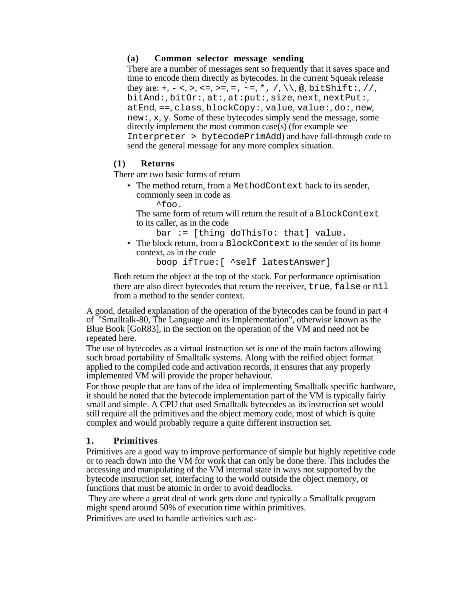#### **(a) Common selector message sending**

There are a number of messages sent so frequently that it saves space and time to encode them directly as bytecodes. In the current Squeak release they are:  $+, -<, >, <-, >=, =, -; *, /, \setminus, @, \text{bitShift:}, //,$ bitAnd:, bitOr:, at:, at:put:, size, next, nextPut:, atEnd, ==, class, blockCopy:, value, value:, do:, new, new:, x, y. Some of these bytecodes simply send the message, some directly implement the most common case(s) (for example see Interpreter > bytecodePrimAdd) and have fall-through code to send the general message for any more complex situation.

#### **(1) Returns**

There are two basic forms of return

• The method return, from a MethodContext back to its sender, commonly seen in code as

```
^{\wedge}foo.
```
The same form of return will return the result of a BlockContext to its caller, as in the code

- $bar := [thing doThisTo: that] value.$
- The block return, from a BlockContext to the sender of its home context, as in the code

boop ifTrue:[ ^self latestAnswer]

Both return the object at the top of the stack. For performance optimisation there are also direct bytecodes that return the receiver, true, false or nil from a method to the sender context.

A good, detailed explanation of the operation of the bytecodes can be found in part 4 of "Smalltalk-80, The Language and its Implementation", otherwise known as the Blue Book [GoR83], in the section on the operation of the VM and need not be repeated here.

The use of bytecodes as a virtual instruction set is one of the main factors allowing such broad portability of Smalltalk systems. Along with the reified object format applied to the compiled code and activation records, it ensures that any properly implemented VM will provide the proper behaviour.

For those people that are fans of the idea of implementing Smalltalk specific hardware, it should be noted that the bytecode implementation part of the VM is typically fairly small and simple. A CPU that used Smalltalk bytecodes as its instruction set would still require all the primitives and the object memory code, most of which is quite complex and would probably require a quite different instruction set.

#### **1. Primitives**

Primitives are a good way to improve performance of simple but highly repetitive code or to reach down into the VM for work that can only be done there. This includes the accessing and manipulating of the VM internal state in ways not supported by the bytecode instruction set, interfacing to the world outside the object memory, or functions that must be atomic in order to avoid deadlocks.

 They are where a great deal of work gets done and typically a Smalltalk program might spend around 50% of execution time within primitives.

Primitives are used to handle activities such as:-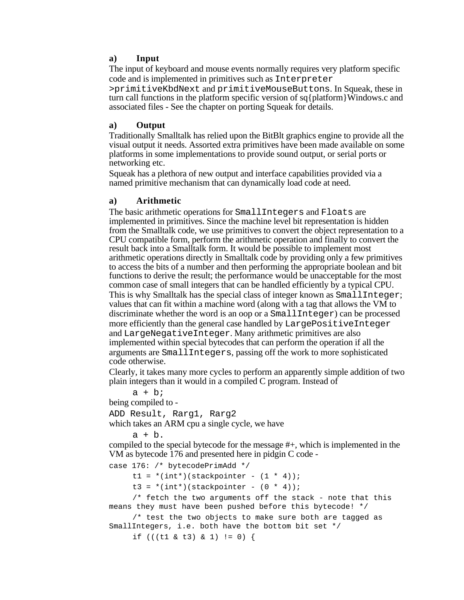#### **a) Input**

The input of keyboard and mouse events normally requires very platform specific code and is implemented in primitives such as Interpreter

>primitiveKbdNext and primitiveMouseButtons. In Squeak, these in turn call functions in the platform specific version of sq{platform}Windows.c and associated files - See the chapter on porting Squeak for details.

## **a) Output**

Traditionally Smalltalk has relied upon the BitBlt graphics engine to provide all the visual output it needs. Assorted extra primitives have been made available on some platforms in some implementations to provide sound output, or serial ports or networking etc.

Squeak has a plethora of new output and interface capabilities provided via a named primitive mechanism that can dynamically load code at need.

### **a) Arithmetic**

The basic arithmetic operations for SmallIntegers and Floats are implemented in primitives. Since the machine level bit representation is hidden from the Smalltalk code, we use primitives to convert the object representation to a CPU compatible form, perform the arithmetic operation and finally to convert the result back into a Smalltalk form. It would be possible to implement most arithmetic operations directly in Smalltalk code by providing only a few primitives to access the bits of a number and then performing the appropriate boolean and bit functions to derive the result; the performance would be unacceptable for the most common case of small integers that can be handled efficiently by a typical CPU. This is why Smalltalk has the special class of integer known as SmallInteger; values that can fit within a machine word (along with a tag that allows the VM to discriminate whether the word is an oop or a SmallInteger) can be processed more efficiently than the general case handled by LargePositiveInteger and LargeNegativeInteger. Many arithmetic primitives are also implemented within special bytecodes that can perform the operation if all the arguments are SmallIntegers, passing off the work to more sophisticated code otherwise.

Clearly, it takes many more cycles to perform an apparently simple addition of two plain integers than it would in a compiled C program. Instead of

 $a + bi$ being compiled to - ADD Result, Rarg1, Rarg2

which takes an ARM cpu a single cycle, we have

a + b.

compiled to the special bytecode for the message #+, which is implemented in the VM as bytecode 176 and presented here in pidgin C code -

case 176: /\* bytecodePrimAdd \*/

t1 =  $*(int*)(stackpointer - (1 * 4));$ 

t3 =  $*(int*)$  (stackpointer -  $(0 * 4))$ ;

 $/*$  fetch the two arguments off the stack - note that this means they must have been pushed before this bytecode! \*/

/\* test the two objects to make sure both are tagged as SmallIntegers, i.e. both have the bottom bit set \*/

if  $(((t1 \& t3) \& 1) != 0)$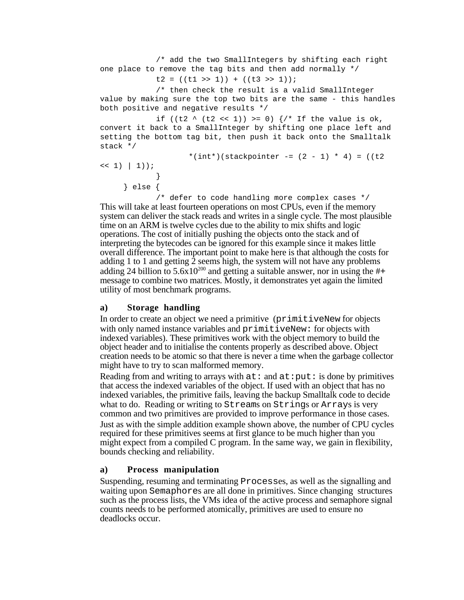/\* add the two SmallIntegers by shifting each right one place to remove the tag bits and then add normally \*/  $t2 = ((t1 \gg 1)) + ((t3 \gg 1));$ /\* then check the result is a valid SmallInteger value by making sure the top two bits are the same - this handles both positive and negative results \*/ if ((t2  $\wedge$  (t2 << 1)) >= 0) {/\* If the value is ok, convert it back to a SmallInteger by shifting one place left and setting the bottom tag bit, then push it back onto the Smalltalk stack \*/ \*(int\*)(stackpointer -=  $(2 - 1)$  \* 4) = ((t2)  $<< 1)$   $| 1)$ ; } } else { /\* defer to code handling more complex cases \*/

This will take at least fourteen operations on most CPUs, even if the memory system can deliver the stack reads and writes in a single cycle. The most plausible time on an ARM is twelve cycles due to the ability to mix shifts and logic operations. The cost of initially pushing the objects onto the stack and of interpreting the bytecodes can be ignored for this example since it makes little overall difference. The important point to make here is that although the costs for adding 1 to 1 and getting  $\tilde{2}$  seems high, the system will not have any problems adding 24 billion to  $5.6x10^{200}$  and getting a suitable answer, nor in using the #+ message to combine two matrices. Mostly, it demonstrates yet again the limited utility of most benchmark programs.

#### **a) Storage handling**

In order to create an object we need a primitive (primitiveNew for objects with only named instance variables and primitiveNew: for objects with indexed variables). These primitives work with the object memory to build the object header and to initialise the contents properly as described above. Object creation needs to be atomic so that there is never a time when the garbage collector might have to try to scan malformed memory.

Reading from and writing to arrays with  $at:$  and  $at:$  put: is done by primitives that access the indexed variables of the object. If used with an object that has no indexed variables, the primitive fails, leaving the backup Smalltalk code to decide what to do. Reading or writing to Streams on Strings or Arrays is very common and two primitives are provided to improve performance in those cases. Just as with the simple addition example shown above, the number of CPU cycles required for these primitives seems at first glance to be much higher than you might expect from a compiled C program. In the same way, we gain in flexibility, bounds checking and reliability.

#### **a) Process manipulation**

Suspending, resuming and terminating Processes, as well as the signalling and waiting upon Semaphores are all done in primitives. Since changing structures such as the process lists, the VMs idea of the active process and semaphore signal counts needs to be performed atomically, primitives are used to ensure no deadlocks occur.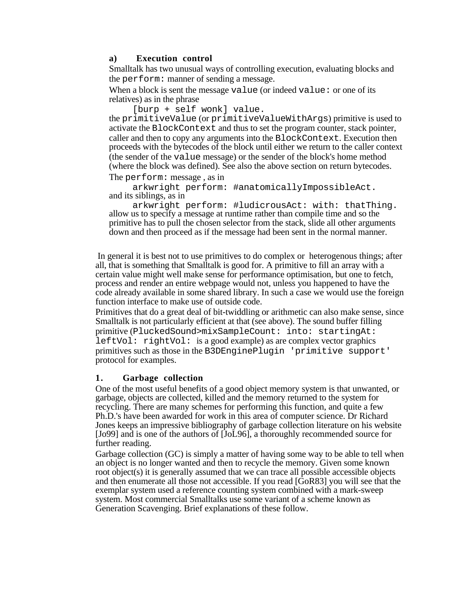### **a) Execution control**

Smalltalk has two unusual ways of controlling execution, evaluating blocks and the perform: manner of sending a message.

When a block is sent the message value (or indeed value: or one of its relatives) as in the phrase

[burp + self wonk] value. the primitiveValue (or primitiveValueWithArgs) primitive is used to activate the BlockContext and thus to set the program counter, stack pointer, caller and then to copy any arguments into the BlockContext. Execution then proceeds with the bytecodes of the block until either we return to the caller context (the sender of the value message) or the sender of the block's home method (where the block was defined). See also the above section on return bytecodes.

The perform: message , as in

arkwright perform: #anatomicallyImpossibleAct. and its siblings, as in

arkwright perform: #ludicrousAct: with: thatThing. allow us to specify a message at runtime rather than compile time and so the primitive has to pull the chosen selector from the stack, slide all other arguments down and then proceed as if the message had been sent in the normal manner.

 In general it is best not to use primitives to do complex or heterogenous things; after all, that is something that Smalltalk is good for. A primitive to fill an array with a certain value might well make sense for performance optimisation, but one to fetch, process and render an entire webpage would not, unless you happened to have the code already available in some shared library. In such a case we would use the foreign function interface to make use of outside code.

Primitives that do a great deal of bit-twiddling or arithmetic can also make sense, since Smalltalk is not particularly efficient at that (see above). The sound buffer filling primitive (PluckedSound>mixSampleCount: into: startingAt: leftVol: rightVol: is a good example) as are complex vector graphics primitives such as those in the B3DEnginePlugin 'primitive support' protocol for examples.

#### **1. Garbage collection**

One of the most useful benefits of a good object memory system is that unwanted, or garbage, objects are collected, killed and the memory returned to the system for recycling. There are many schemes for performing this function, and quite a few Ph.D.'s have been awarded for work in this area of computer science. Dr Richard Jones keeps an impressive bibliography of garbage collection literature on his website [Jo99] and is one of the authors of [JoL96], a thoroughly recommended source for further reading.

Garbage collection (GC) is simply a matter of having some way to be able to tell when an object is no longer wanted and then to recycle the memory. Given some known root object(s) it is generally assumed that we can trace all possible accessible objects and then enumerate all those not accessible. If you read [GoR83] you will see that the exemplar system used a reference counting system combined with a mark-sweep system. Most commercial Smalltalks use some variant of a scheme known as Generation Scavenging. Brief explanations of these follow.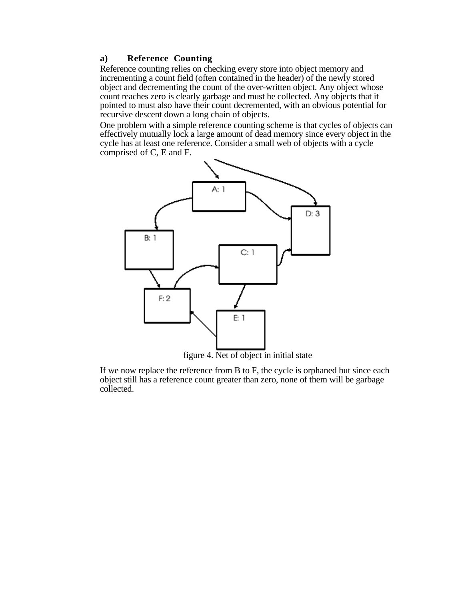#### **a) Reference Counting**

Reference counting relies on checking every store into object memory and incrementing a count field (often contained in the header) of the newly stored object and decrementing the count of the over-written object. Any object whose count reaches zero is clearly garbage and must be collected. Any objects that it pointed to must also have their count decremented, with an obvious potential for recursive descent down a long chain of objects.

One problem with a simple reference counting scheme is that cycles of objects can effectively mutually lock a large amount of dead memory since every object in the cycle has at least one reference. Consider a small web of objects with a cycle comprised of C, E and F.



figure 4. Net of object in initial state

If we now replace the reference from B to F, the cycle is orphaned but since each object still has a reference count greater than zero, none of them will be garbage collected.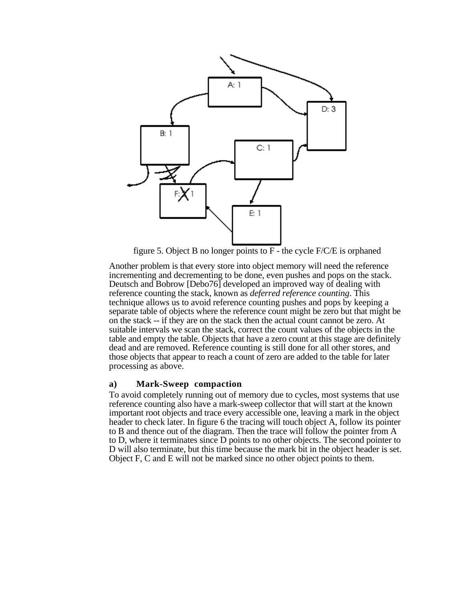

figure 5. Object B no longer points to F - the cycle F/C/E is orphaned

Another problem is that every store into object memory will need the reference incrementing and decrementing to be done, even pushes and pops on the stack. Deutsch and Bobrow [Debo76] developed an improved way of dealing with reference counting the stack, known as *deferred reference counting*. This technique allows us to avoid reference counting pushes and pops by keeping a separate table of objects where the reference count might be zero but that might be on the stack -- if they are on the stack then the actual count cannot be zero. At suitable intervals we scan the stack, correct the count values of the objects in the table and empty the table. Objects that have a zero count at this stage are definitely dead and are removed. Reference counting is still done for all other stores, and those objects that appear to reach a count of zero are added to the table for later processing as above.

#### **a) Mark-Sweep compaction**

To avoid completely running out of memory due to cycles, most systems that use reference counting also have a mark-sweep collector that will start at the known important root objects and trace every accessible one, leaving a mark in the object header to check later. In figure 6 the tracing will touch object A, follow its pointer to B and thence out of the diagram. Then the trace will follow the pointer from A to D, where it terminates since D points to no other objects. The second pointer to D will also terminate, but this time because the mark bit in the object header is set. Object F, C and E will not be marked since no other object points to them.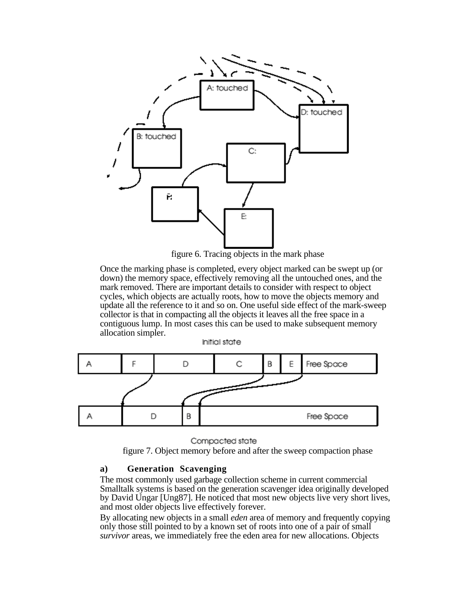

figure 6. Tracing objects in the mark phase

Once the marking phase is completed, every object marked can be swept up (or down) the memory space, effectively removing all the untouched ones, and the mark removed. There are important details to consider with respect to object cycles, which objects are actually roots, how to move the objects memory and update all the reference to it and so on. One useful side effect of the mark-sweep collector is that in compacting all the objects it leaves all the free space in a contiguous lump. In most cases this can be used to make subsequent memory allocation simpler.



Compacted state

figure 7. Object memory before and after the sweep compaction phase

#### **a) Generation Scavenging**

The most commonly used garbage collection scheme in current commercial Smalltalk systems is based on the generation scavenger idea originally developed by David Ungar [Ung87]. He noticed that most new objects live very short lives, and most older objects live effectively forever.

By allocating new objects in a small *eden* area of memory and frequently copying only those still pointed to by a known set of roots into one of a pair of small *survivor* areas, we immediately free the eden area for new allocations. Objects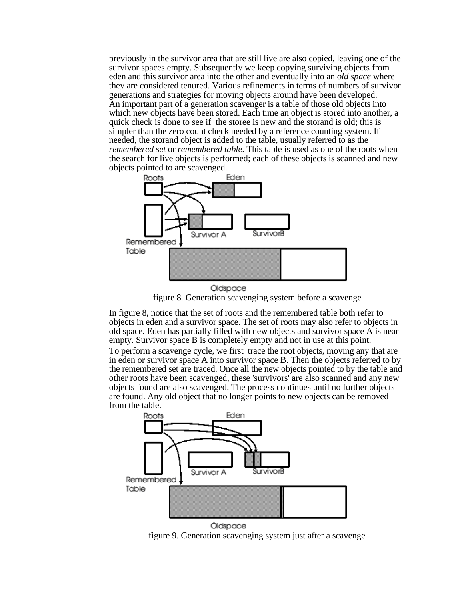previously in the survivor area that are still live are also copied, leaving one of the survivor spaces empty. Subsequently we keep copying surviving objects from eden and this survivor area into the other and eventually into an *old space* where they are considered tenured. Various refinements in terms of numbers of survivor generations and strategies for moving objects around have been developed. An important part of a generation scavenger is a table of those old objects into which new objects have been stored. Each time an object is stored into another, a quick check is done to see if the storee is new and the storand is old; this is simpler than the zero count check needed by a reference counting system. If needed, the storand object is added to the table, usually referred to as the *remembered set* or *remembered table*. This table is used as one of the roots when the search for live objects is performed; each of these objects is scanned and new objects pointed to are scavenged.



Oldspace figure 8. Generation scavenging system before a scavenge

In figure 8, notice that the set of roots and the remembered table both refer to objects in eden and a survivor space. The set of roots may also refer to objects in old space. Eden has partially filled with new objects and survivor space A is near empty. Survivor space B is completely empty and not in use at this point.

To perform a scavenge cycle, we first trace the root objects, moving any that are in eden or survivor space A into survivor space B. Then the objects referred to by the remembered set are traced. Once all the new objects pointed to by the table and other roots have been scavenged, these 'survivors' are also scanned and any new objects found are also scavenged. The process continues until no further objects are found. Any old object that no longer points to new objects can be removed from the table.



Oldspace figure 9. Generation scavenging system just after a scavenge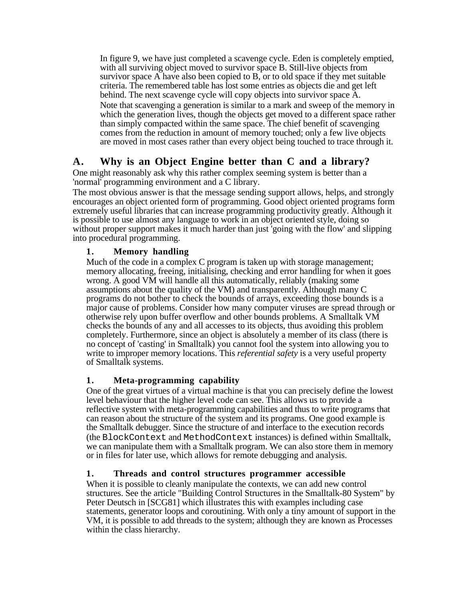In figure 9, we have just completed a scavenge cycle. Eden is completely emptied, with all surviving object moved to survivor space B. Still-live objects from survivor space  $\overline{A}$  have also been copied to  $\overline{B}$ , or to old space if they met suitable criteria. The remembered table has lost some entries as objects die and get left behind. The next scavenge cycle will copy objects into survivor space A.

Note that scavenging a generation is similar to a mark and sweep of the memory in which the generation lives, though the objects get moved to a different space rather than simply compacted within the same space. The chief benefit of scavenging comes from the reduction in amount of memory touched; only a few live objects are moved in most cases rather than every object being touched to trace through it.

# **A. Why is an Object Engine better than C and a library?**

One might reasonably ask why this rather complex seeming system is better than a 'normal' programming environment and a C library.

The most obvious answer is that the message sending support allows, helps, and strongly encourages an object oriented form of programming. Good object oriented programs form extremely useful libraries that can increase programming productivity greatly. Although it is possible to use almost any language to work in an object oriented style, doing so without proper support makes it much harder than just 'going with the flow' and slipping into procedural programming.

# **1. Memory handling**

Much of the code in a complex C program is taken up with storage management; memory allocating, freeing, initialising, checking and error handling for when it goes wrong. A good VM will handle all this automatically, reliably (making some assumptions about the quality of the VM) and transparently. Although many C programs do not bother to check the bounds of arrays, exceeding those bounds is a major cause of problems. Consider how many computer viruses are spread through or otherwise rely upon buffer overflow and other bounds problems. A Smalltalk VM checks the bounds of any and all accesses to its objects, thus avoiding this problem completely. Furthermore, since an object is absolutely a member of its class (there is no concept of 'casting' in Smalltalk) you cannot fool the system into allowing you to write to improper memory locations. This *referential safety* is a very useful property of Smalltalk systems.

# **1. Meta-programming capability**

One of the great virtues of a virtual machine is that you can precisely define the lowest level behaviour that the higher level code can see. This allows us to provide a reflective system with meta-programming capabilities and thus to write programs that can reason about the structure of the system and its programs. One good example is the Smalltalk debugger. Since the structure of and interface to the execution records (the BlockContext and MethodContext instances) is defined within Smalltalk, we can manipulate them with a Smalltalk program. We can also store them in memory or in files for later use, which allows for remote debugging and analysis.

# **1. Threads and control structures programmer accessible**

When it is possible to cleanly manipulate the contexts, we can add new control structures. See the article "Building Control Structures in the Smalltalk-80 System" by Peter Deutsch in [SCG81] which illustrates this with examples including case statements, generator loops and coroutining. With only a tiny amount of support in the VM, it is possible to add threads to the system; although they are known as Processes within the class hierarchy.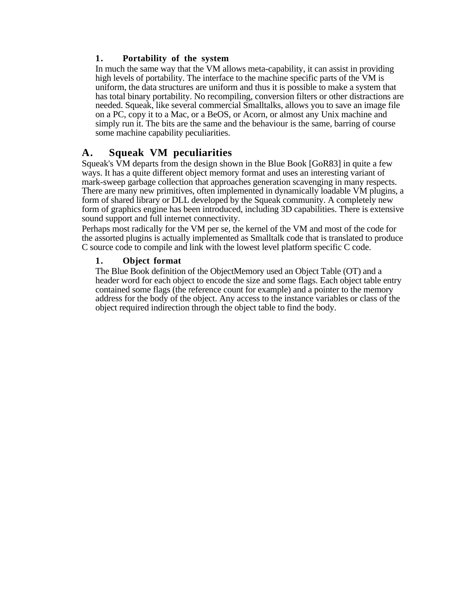# **1. Portability of the system**

In much the same way that the VM allows meta-capability, it can assist in providing high levels of portability. The interface to the machine specific parts of the VM is uniform, the data structures are uniform and thus it is possible to make a system that has total binary portability. No recompiling, conversion filters or other distractions are needed. Squeak, like several commercial Smalltalks, allows you to save an image file on a PC, copy it to a Mac, or a BeOS, or Acorn, or almost any Unix machine and simply run it. The bits are the same and the behaviour is the same, barring of course some machine capability peculiarities.

# **A. Squeak VM peculiarities**

Squeak's VM departs from the design shown in the Blue Book [GoR83] in quite a few ways. It has a quite different object memory format and uses an interesting variant of mark-sweep garbage collection that approaches generation scavenging in many respects. There are many new primitives, often implemented in dynamically loadable VM plugins, a form of shared library or DLL developed by the Squeak community. A completely new form of graphics engine has been introduced, including 3D capabilities. There is extensive sound support and full internet connectivity.

Perhaps most radically for the VM per se, the kernel of the VM and most of the code for the assorted plugins is actually implemented as Smalltalk code that is translated to produce C source code to compile and link with the lowest level platform specific C code.

# **1. Object format**

The Blue Book definition of the ObjectMemory used an Object Table (OT) and a header word for each object to encode the size and some flags. Each object table entry contained some flags (the reference count for example) and a pointer to the memory address for the body of the object. Any access to the instance variables or class of the object required indirection through the object table to find the body.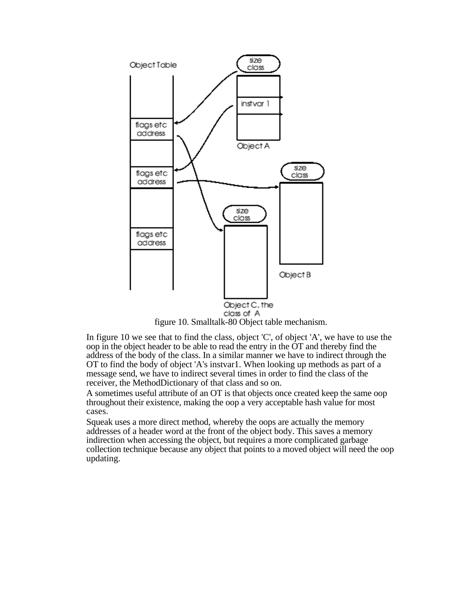

In figure 10 we see that to find the class, object 'C', of object 'A', we have to use the oop in the object header to be able to read the entry in the OT and thereby find the address of the body of the class. In a similar manner we have to indirect through the OT to find the body of object 'A's instvar1. When looking up methods as part of a message send, we have to indirect several times in order to find the class of the receiver, the MethodDictionary of that class and so on.

A sometimes useful attribute of an OT is that objects once created keep the same oop throughout their existence, making the oop a very acceptable hash value for most cases.

Squeak uses a more direct method, whereby the oops are actually the memory addresses of a header word at the front of the object body. This saves a memory indirection when accessing the object, but requires a more complicated garbage collection technique because any object that points to a moved object will need the oop updating.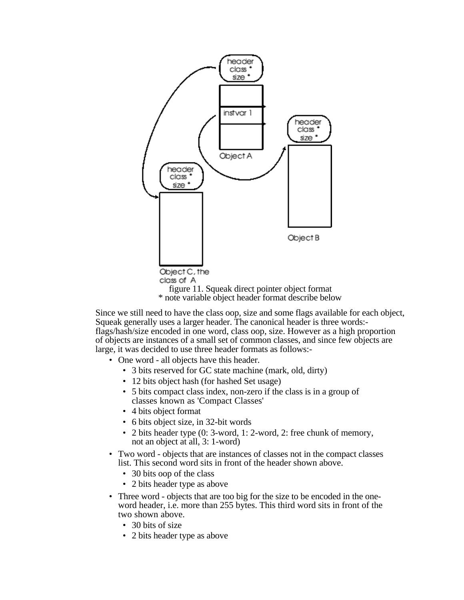

Since we still need to have the class oop, size and some flags available for each object, Squeak generally uses a larger header. The canonical header is three words: flags/hash/size encoded in one word, class oop, size. However as a high proportion of objects are instances of a small set of common classes, and since few objects are large, it was decided to use three header formats as follows:-

- One word all objects have this header.
	- 3 bits reserved for GC state machine (mark, old, dirty)
	- 12 bits object hash (for hashed Set usage)
	- 5 bits compact class index, non-zero if the class is in a group of classes known as 'Compact Classes'
	- 4 bits object format
	- 6 bits object size, in 32-bit words
	- 2 bits header type (0: 3-word, 1: 2-word, 2: free chunk of memory, not an object at all, 3: 1-word)
- Two word objects that are instances of classes not in the compact classes list. This second word sits in front of the header shown above.
	- 30 bits oop of the class
	- 2 bits header type as above
- Three word objects that are too big for the size to be encoded in the oneword header, i.e. more than 255 bytes. This third word sits in front of the two shown above.
	- 30 bits of size
	- 2 bits header type as above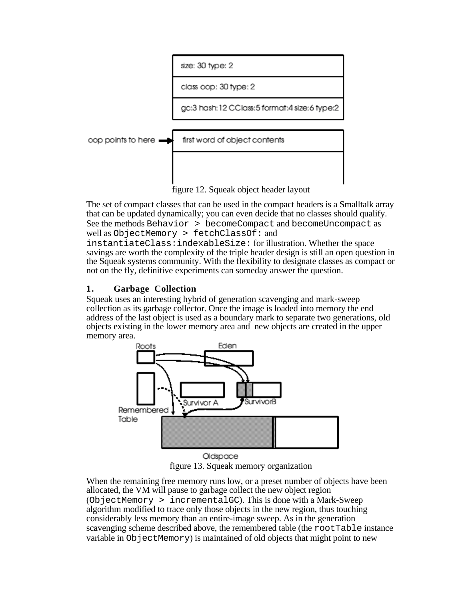

class cop: 30 type: 2

gc:3 hash: 12 CClass:5 format:4 size:6 type:2

oop points to here

first word of object contents

figure 12. Squeak object header layout

The set of compact classes that can be used in the compact headers is a Smalltalk array that can be updated dynamically; you can even decide that no classes should qualify. See the methods Behavior > becomeCompact and becomeUncompact as well as ObjectMemory > fetchClassOf: and

instantiateClass:indexableSize: for illustration. Whether the space savings are worth the complexity of the triple header design is still an open question in the Squeak systems community. With the flexibility to designate classes as compact or not on the fly, definitive experiments can someday answer the question.

# **1. Garbage Collection**

Squeak uses an interesting hybrid of generation scavenging and mark-sweep collection as its garbage collector. Once the image is loaded into memory the end address of the last object is used as a boundary mark to separate two generations, old objects existing in the lower memory area and new objects are created in the upper memory area.



Oldspace figure 13. Squeak memory organization

When the remaining free memory runs low, or a preset number of objects have been allocated, the VM will pause to garbage collect the new object region (ObjectMemory > incrementalGC). This is done with a Mark-Sweep algorithm modified to trace only those objects in the new region, thus touching considerably less memory than an entire-image sweep. As in the generation scavenging scheme described above, the remembered table (the rootTable instance variable in ObjectMemory) is maintained of old objects that might point to new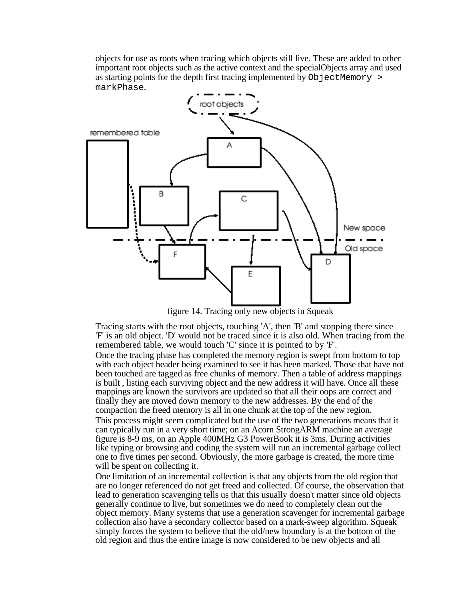objects for use as roots when tracing which objects still live. These are added to other important root objects such as the active context and the specialObjects array and used as starting points for the depth first tracing implemented by ObjectMemory > markPhase.



figure 14. Tracing only new objects in Squeak

Tracing starts with the root objects, touching 'A', then 'B' and stopping there since 'F' is an old object. 'D' would not be traced since it is also old. When tracing from the remembered table, we would touch 'C' since it is pointed to by 'F'.

Once the tracing phase has completed the memory region is swept from bottom to top with each object header being examined to see it has been marked. Those that have not been touched are tagged as free chunks of memory. Then a table of address mappings is built , listing each surviving object and the new address it will have. Once all these mappings are known the survivors are updated so that all their oops are correct and finally they are moved down memory to the new addresses. By the end of the compaction the freed memory is all in one chunk at the top of the new region. This process might seem complicated but the use of the two generations means that it can typically run in a very short time; on an Acorn StrongARM machine an average figure is 8-9 ms, on an Apple 400MHz G3 PowerBook it is 3ms. During activities like typing or browsing and coding the system will run an incremental garbage collect one to five times per second. Obviously, the more garbage is created, the more time will be spent on collecting it.

One limitation of an incremental collection is that any objects from the old region that are no longer referenced do not get freed and collected. Of course, the observation that lead to generation scavenging tells us that this usually doesn't matter since old objects generally continue to live, but sometimes we do need to completely clean out the object memory. Many systems that use a generation scavenger for incremental garbage collection also have a secondary collector based on a mark-sweep algorithm. Squeak simply forces the system to believe that the old/new boundary is at the bottom of the old region and thus the entire image is now considered to be new objects and all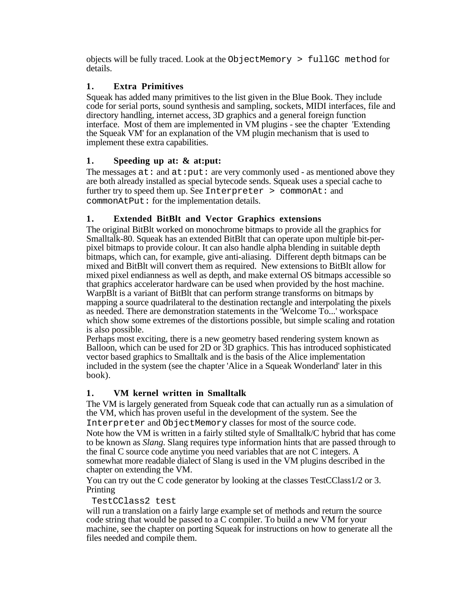objects will be fully traced. Look at the ObjectMemory > fullGC method for details.

# **1. Extra Primitives**

Squeak has added many primitives to the list given in the Blue Book. They include code for serial ports, sound synthesis and sampling, sockets, MIDI interfaces, file and directory handling, internet access, 3D graphics and a general foreign function interface. Most of them are implemented in VM plugins - see the chapter 'Extending the Squeak VM' for an explanation of the VM plugin mechanism that is used to implement these extra capabilities.

# **1. Speeding up at: & at:put:**

The messages  $at:$  and  $at:$  put: are very commonly used - as mentioned above they are both already installed as special bytecode sends. Squeak uses a special cache to further try to speed them up. See Interpreter > commonAt: and commonAtPut: for the implementation details.

# **1. Extended BitBlt and Vector Graphics extensions**

The original BitBlt worked on monochrome bitmaps to provide all the graphics for Smalltalk-80. Squeak has an extended BitBlt that can operate upon multiple bit-perpixel bitmaps to provide colour. It can also handle alpha blending in suitable depth bitmaps, which can, for example, give anti-aliasing. Different depth bitmaps can be mixed and BitBlt will convert them as required. New extensions to BitBlt allow for mixed pixel endianness as well as depth, and make external OS bitmaps accessible so that graphics accelerator hardware can be used when provided by the host machine. WarpBlt is a variant of BitBlt that can perform strange transforms on bitmaps by mapping a source quadrilateral to the destination rectangle and interpolating the pixels as needed. There are demonstration statements in the 'Welcome To...' workspace which show some extremes of the distortions possible, but simple scaling and rotation is also possible.

Perhaps most exciting, there is a new geometry based rendering system known as Balloon, which can be used for 2D or 3D graphics. This has introduced sophisticated vector based graphics to Smalltalk and is the basis of the Alice implementation included in the system (see the chapter 'Alice in a Squeak Wonderland' later in this book).

# **1. VM kernel written in Smalltalk**

The VM is largely generated from Squeak code that can actually run as a simulation of the VM, which has proven useful in the development of the system. See the Interpreter and ObjectMemory classes for most of the source code. Note how the VM is written in a fairly stilted style of Smalltalk/C hybrid that has come to be known as *Slang*. Slang requires type information hints that are passed through to the final C source code anytime you need variables that are not C integers. A somewhat more readable dialect of Slang is used in the VM plugins described in the chapter on extending the VM.

You can try out the C code generator by looking at the classes TestCClass1/2 or 3. Printing

#### TestCClass2 test

will run a translation on a fairly large example set of methods and return the source code string that would be passed to a C compiler. To build a new VM for your machine, see the chapter on porting Squeak for instructions on how to generate all the files needed and compile them.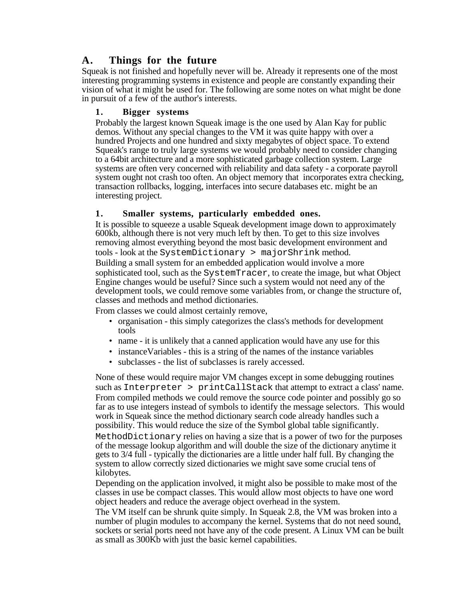# **A. Things for the future**

Squeak is not finished and hopefully never will be. Already it represents one of the most interesting programming systems in existence and people are constantly expanding their vision of what it might be used for. The following are some notes on what might be done in pursuit of a few of the author's interests.

# **1. Bigger systems**

Probably the largest known Squeak image is the one used by Alan Kay for public demos. Without any special changes to the VM it was quite happy with over a hundred Projects and one hundred and sixty megabytes of object space. To extend Squeak's range to truly large systems we would probably need to consider changing to a 64bit architecture and a more sophisticated garbage collection system. Large systems are often very concerned with reliability and data safety - a corporate payroll system ought not crash too often. An object memory that incorporates extra checking, transaction rollbacks, logging, interfaces into secure databases etc. might be an interesting project.

# **1. Smaller systems, particularly embedded ones.**

It is possible to squeeze a usable Squeak development image down to approximately 600kb, although there is not very much left by then. To get to this size involves removing almost everything beyond the most basic development environment and tools - look at the SystemDictionary > majorShrink method. Building a small system for an embedded application would involve a more sophisticated tool, such as the SystemTracer, to create the image, but what Object Engine changes would be useful? Since such a system would not need any of the development tools, we could remove some variables from, or change the structure of, classes and methods and method dictionaries.

From classes we could almost certainly remove,

- organisation this simply categorizes the class's methods for development tools
- name it is unlikely that a canned application would have any use for this
- instance Variables this is a string of the names of the instance variables
- subclasses the list of subclasses is rarely accessed.

None of these would require major VM changes except in some debugging routines such as Interpreter > printCallStack that attempt to extract a class' name. From compiled methods we could remove the source code pointer and possibly go so far as to use integers instead of symbols to identify the message selectors. This would work in Squeak since the method dictionary search code already handles such a possibility. This would reduce the size of the Symbol global table significantly.

MethodDictionary relies on having a size that is a power of two for the purposes of the message lookup algorithm and will double the size of the dictionary anytime it gets to 3/4 full - typically the dictionaries are a little under half full. By changing the system to allow correctly sized dictionaries we might save some crucial tens of kilobytes.

Depending on the application involved, it might also be possible to make most of the classes in use be compact classes. This would allow most objects to have one word object headers and reduce the average object overhead in the system.

The VM itself can be shrunk quite simply. In Squeak 2.8, the VM was broken into a number of plugin modules to accompany the kernel. Systems that do not need sound, sockets or serial ports need not have any of the code present. A Linux VM can be built as small as 300Kb with just the basic kernel capabilities.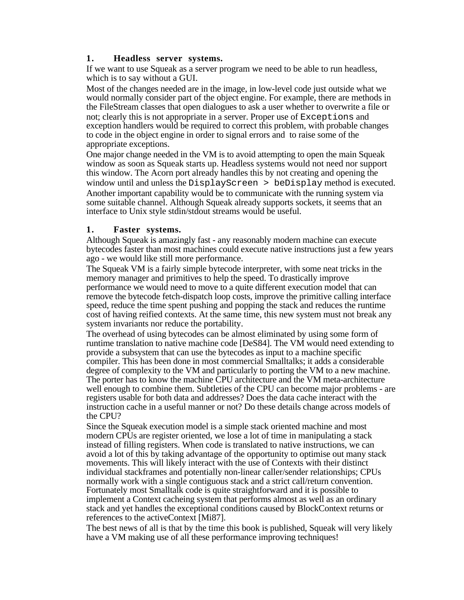#### **1. Headless server systems.**

If we want to use Squeak as a server program we need to be able to run headless, which is to say without a GUI.

Most of the changes needed are in the image, in low-level code just outside what we would normally consider part of the object engine. For example, there are methods in the FileStream classes that open dialogues to ask a user whether to overwrite a file or not; clearly this is not appropriate in a server. Proper use of Exceptions and exception handlers would be required to correct this problem, with probable changes to code in the object engine in order to signal errors and to raise some of the appropriate exceptions.

One major change needed in the VM is to avoid attempting to open the main Squeak window as soon as Squeak starts up. Headless systems would not need nor support this window. The Acorn port already handles this by not creating and opening the window until and unless the DisplayScreen > beDisplay method is executed. Another important capability would be to communicate with the running system via some suitable channel. Although Squeak already supports sockets, it seems that an interface to Unix style stdin/stdout streams would be useful.

#### **1. Faster systems.**

Although Squeak is amazingly fast - any reasonably modern machine can execute bytecodes faster than most machines could execute native instructions just a few years ago - we would like still more performance.

The Squeak VM is a fairly simple bytecode interpreter, with some neat tricks in the memory manager and primitives to help the speed. To drastically improve performance we would need to move to a quite different execution model that can remove the bytecode fetch-dispatch loop costs, improve the primitive calling interface speed, reduce the time spent pushing and popping the stack and reduces the runtime cost of having reified contexts. At the same time, this new system must not break any system invariants nor reduce the portability.

The overhead of using bytecodes can be almost eliminated by using some form of runtime translation to native machine code [DeS84]. The VM would need extending to provide a subsystem that can use the bytecodes as input to a machine specific compiler. This has been done in most commercial Smalltalks; it adds a considerable degree of complexity to the VM and particularly to porting the VM to a new machine. The porter has to know the machine CPU architecture and the VM meta-architecture well enough to combine them. Subtleties of the CPU can become major problems - are registers usable for both data and addresses? Does the data cache interact with the instruction cache in a useful manner or not? Do these details change across models of the CPU?

Since the Squeak execution model is a simple stack oriented machine and most modern CPUs are register oriented, we lose a lot of time in manipulating a stack instead of filling registers. When code is translated to native instructions, we can avoid a lot of this by taking advantage of the opportunity to optimise out many stack movements. This will likely interact with the use of Contexts with their distinct individual stackframes and potentially non-linear caller/sender relationships; CPUs normally work with a single contiguous stack and a strict call/return convention. Fortunately most Smalltalk code is quite straightforward and it is possible to implement a Context cacheing system that performs almost as well as an ordinary stack and yet handles the exceptional conditions caused by BlockContext returns or references to the activeContext [Mi87].

The best news of all is that by the time this book is published, Squeak will very likely have a VM making use of all these performance improving techniques!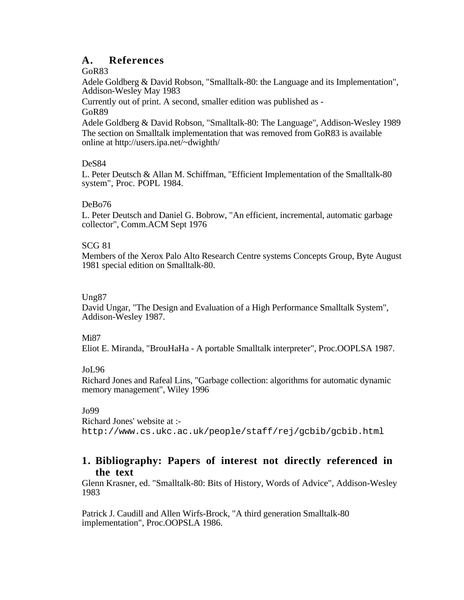# **A. References**

#### GoR83

Adele Goldberg & David Robson, "Smalltalk-80: the Language and its Implementation", Addison-Wesley May 1983

Currently out of print. A second, smaller edition was published as - GoR89

Adele Goldberg & David Robson, "Smalltalk-80: The Language", Addison-Wesley 1989 The section on Smalltalk implementation that was removed from GoR83 is available online at http://users.ipa.net/~dwighth/

### DeS84

L. Peter Deutsch & Allan M. Schiffman, "Efficient Implementation of the Smalltalk-80 system", Proc. POPL 1984.

### DeBo76

L. Peter Deutsch and Daniel G. Bobrow, "An efficient, incremental, automatic garbage collector", Comm.ACM Sept 1976

### SCG 81

Members of the Xerox Palo Alto Research Centre systems Concepts Group, Byte August 1981 special edition on Smalltalk-80.

## Ung87

David Ungar, "The Design and Evaluation of a High Performance Smalltalk System", Addison-Wesley 1987.

# Mi87

Eliot E. Miranda, "BrouHaHa - A portable Smalltalk interpreter", Proc.OOPLSA 1987.

#### JoL96

Richard Jones and Rafeal Lins, "Garbage collection: algorithms for automatic dynamic memory management", Wiley 1996

# Jo99

Richard Jones' website at : http://www.cs.ukc.ac.uk/people/staff/rej/gcbib/gcbib.html

# **1. Bibliography: Papers of interest not directly referenced in the text**

Glenn Krasner, ed. "Smalltalk-80: Bits of History, Words of Advice", Addison-Wesley 1983

Patrick J. Caudill and Allen Wirfs-Brock, "A third generation Smalltalk-80 implementation", Proc.OOPSLA 1986.